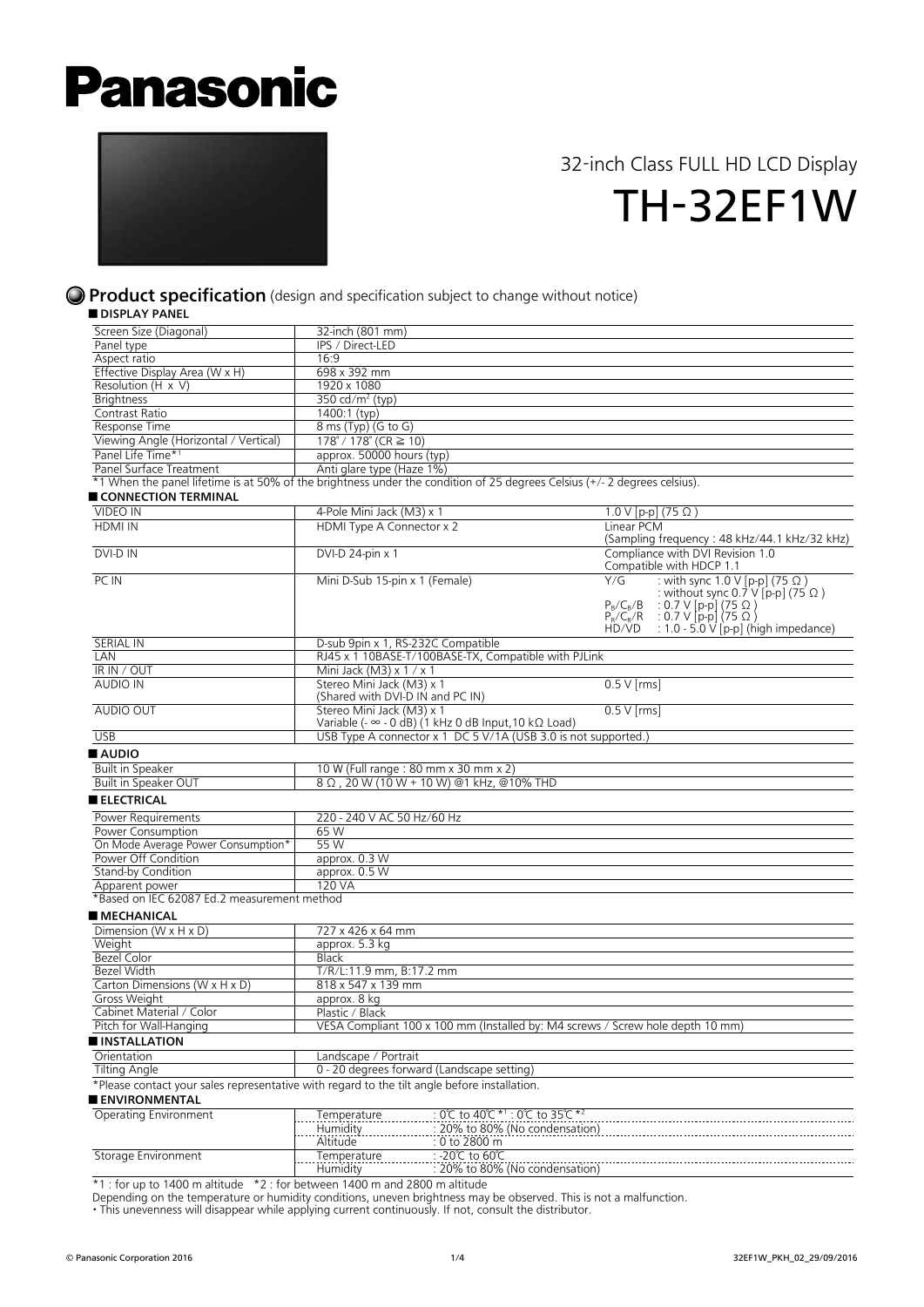# **Panasonic**



## 32-inch Class FULL HD LCD Display TH-32EF1W

#### **Product specification** (design and specification subject to change without notice)

■ DISPLAY PANEL

| <b>UIJFLAIFAINLL</b>                                                                                                      |                                                                    |                                                                                |               |                                                                                                                                                                                                                               |  |
|---------------------------------------------------------------------------------------------------------------------------|--------------------------------------------------------------------|--------------------------------------------------------------------------------|---------------|-------------------------------------------------------------------------------------------------------------------------------------------------------------------------------------------------------------------------------|--|
| Screen Size (Diagonal)                                                                                                    | 32-inch (801 mm)                                                   |                                                                                |               |                                                                                                                                                                                                                               |  |
| Panel type                                                                                                                | IPS / Direct-LED                                                   |                                                                                |               |                                                                                                                                                                                                                               |  |
| Aspect ratio                                                                                                              | 16:9                                                               |                                                                                |               |                                                                                                                                                                                                                               |  |
| Effective Display Area (W x H)                                                                                            | 698 x 392 mm                                                       |                                                                                |               |                                                                                                                                                                                                                               |  |
| Resolution $(H \times V)$                                                                                                 | 1920 x 1080                                                        |                                                                                |               |                                                                                                                                                                                                                               |  |
| <b>Brightness</b>                                                                                                         | 350 cd/m <sup>2</sup> (typ)                                        |                                                                                |               |                                                                                                                                                                                                                               |  |
| Contrast Ratio                                                                                                            | 1400:1 (typ)                                                       |                                                                                |               |                                                                                                                                                                                                                               |  |
| Response Time                                                                                                             | 8 ms (Typ) (G to G)                                                |                                                                                |               |                                                                                                                                                                                                                               |  |
| Viewing Angle (Horizontal / Vertical)                                                                                     | $\overline{178^\circ}$ / 178° (CR $\geq$ 10)                       |                                                                                |               |                                                                                                                                                                                                                               |  |
| Panel Life Time* <sup>1</sup>                                                                                             | approx. 50000 hours (typ)                                          |                                                                                |               |                                                                                                                                                                                                                               |  |
| Panel Surface Treatment                                                                                                   | Anti glare type (Haze 1%)                                          |                                                                                |               |                                                                                                                                                                                                                               |  |
| *1 When the panel lifetime is at 50% of the brightness under the condition of 25 degrees Celsius (+/- 2 degrees celsius). |                                                                    |                                                                                |               |                                                                                                                                                                                                                               |  |
| CONNECTION TERMINAL                                                                                                       |                                                                    |                                                                                |               |                                                                                                                                                                                                                               |  |
| <b>VIDEO IN</b>                                                                                                           | 4-Pole Mini Jack (M3) x 1                                          |                                                                                |               | 1.0 V [p-p] (75 Ω)                                                                                                                                                                                                            |  |
| <b>HDMI IN</b>                                                                                                            | HDMI Type A Connector x 2                                          |                                                                                | Linear PCM    |                                                                                                                                                                                                                               |  |
|                                                                                                                           |                                                                    |                                                                                |               | (Sampling frequency: 48 kHz/44.1 kHz/32 kHz)                                                                                                                                                                                  |  |
| DVI-D IN                                                                                                                  | DVI-D 24-pin x 1                                                   |                                                                                |               | Compliance with DVI Revision 1.0                                                                                                                                                                                              |  |
|                                                                                                                           |                                                                    |                                                                                |               | Compatible with HDCP 1.1                                                                                                                                                                                                      |  |
| PC IN                                                                                                                     | Mini D-Sub 15-pin x 1 (Female)                                     |                                                                                | Y/G<br>HD/VD  | : with sync 1.0 V [p-p] (75 Ω)<br>: without sync $0.\overline{7}$ V [p-p] (75 $\Omega$ )<br>$P_B/C_B/B$ : 0.7 V [p-p] (75 $\Omega$ )<br>$P_R/C_R/R$ : 0.7 V [p-p] (75 $\Omega$ )<br>: 1.0 - 5.0 $\vee$ [p-p] (high impedance) |  |
| <b>SERIAL IN</b>                                                                                                          | D-sub 9pin x 1, RS-232C Compatible                                 |                                                                                |               |                                                                                                                                                                                                                               |  |
| LAN                                                                                                                       |                                                                    | RJ45 x 1 10BASE-T/100BASE-TX, Compatible with PJLink                           |               |                                                                                                                                                                                                                               |  |
| IR IN / OUT                                                                                                               | Mini Jack (M3) $\times$ 1 / $\times$ 1                             |                                                                                |               |                                                                                                                                                                                                                               |  |
| <b>AUDIO IN</b>                                                                                                           | Stereo Mini Jack (M3) x 1<br>(Shared with DVI-D IN and PC IN)      |                                                                                | $0.5$ V [rms] |                                                                                                                                                                                                                               |  |
| AUDIO OUT                                                                                                                 | Stereo Mini Jack (M3) x 1                                          | Variable (- $\infty$ - 0 dB) (1 kHz 0 dB Input, 10 k $\Omega$ Load)            | $0.5V$ [rms]  |                                                                                                                                                                                                                               |  |
| <b>USB</b>                                                                                                                |                                                                    | USB Type A connector x 1 DC 5 V/1A (USB 3.0 is not supported.)                 |               |                                                                                                                                                                                                                               |  |
|                                                                                                                           |                                                                    |                                                                                |               |                                                                                                                                                                                                                               |  |
| AUDIO                                                                                                                     |                                                                    |                                                                                |               |                                                                                                                                                                                                                               |  |
| <b>Built in Speaker</b>                                                                                                   |                                                                    | 10 W (Full range: 80 mm x 30 mm x 2)                                           |               |                                                                                                                                                                                                                               |  |
| Built in Speaker OUT                                                                                                      |                                                                    | 8 Ω , 20 W (10 W + 10 W) @1 kHz, @10% THD                                      |               |                                                                                                                                                                                                                               |  |
| <b>ELECTRICAL</b>                                                                                                         |                                                                    |                                                                                |               |                                                                                                                                                                                                                               |  |
| Power Requirements                                                                                                        | 220 - 240 V AC 50 Hz/60 Hz                                         |                                                                                |               |                                                                                                                                                                                                                               |  |
| <b>Power Consumption</b>                                                                                                  | 65 W                                                               |                                                                                |               |                                                                                                                                                                                                                               |  |
| On Mode Average Power Consumption*                                                                                        | 55 W                                                               |                                                                                |               |                                                                                                                                                                                                                               |  |
| Power Off Condition                                                                                                       | approx. 0.3 W                                                      |                                                                                |               |                                                                                                                                                                                                                               |  |
| Stand-by Condition                                                                                                        | approx. 0.5 W                                                      |                                                                                |               |                                                                                                                                                                                                                               |  |
| Apparent power                                                                                                            | 120 VA                                                             |                                                                                |               |                                                                                                                                                                                                                               |  |
| *Based on IEC 62087 Ed.2 measurement method                                                                               |                                                                    |                                                                                |               |                                                                                                                                                                                                                               |  |
| ■ MECHANICAL                                                                                                              |                                                                    |                                                                                |               |                                                                                                                                                                                                                               |  |
| Dimension (W $\times$ H $\times$ D)                                                                                       | 727 x 426 x 64 mm                                                  |                                                                                |               |                                                                                                                                                                                                                               |  |
| Weight                                                                                                                    | approx. 5.3 kg                                                     |                                                                                |               |                                                                                                                                                                                                                               |  |
| Bezel Color                                                                                                               | Black                                                              |                                                                                |               |                                                                                                                                                                                                                               |  |
| Bezel Width                                                                                                               | T/R/L:11.9 mm, B:17.2 mm                                           |                                                                                |               |                                                                                                                                                                                                                               |  |
| Carton Dimensions (W $\times$ H $\times$ D)                                                                               | 818 x 547 x 139 mm                                                 |                                                                                |               |                                                                                                                                                                                                                               |  |
| Gross Weight                                                                                                              | approx. 8 kg                                                       |                                                                                |               |                                                                                                                                                                                                                               |  |
| Cabinet Material / Color                                                                                                  | Plastic / Black                                                    |                                                                                |               |                                                                                                                                                                                                                               |  |
| Pitch for Wall-Hanging                                                                                                    |                                                                    | VESA Compliant 100 x 100 mm (Installed by: M4 screws / Screw hole depth 10 mm) |               |                                                                                                                                                                                                                               |  |
| <b>INSTALLATION</b>                                                                                                       |                                                                    |                                                                                |               |                                                                                                                                                                                                                               |  |
|                                                                                                                           |                                                                    |                                                                                |               |                                                                                                                                                                                                                               |  |
| Orientation                                                                                                               | Landscape / Portrait<br>0 - 20 degrees forward (Landscape setting) |                                                                                |               |                                                                                                                                                                                                                               |  |
| <b>Tilting Angle</b>                                                                                                      |                                                                    |                                                                                |               |                                                                                                                                                                                                                               |  |
| *Please contact your sales representative with regard to the tilt angle before installation.<br><b>ENVIRONMENTAL</b>      |                                                                    |                                                                                |               |                                                                                                                                                                                                                               |  |
| Operating Environment                                                                                                     | Temperature                                                        | 0°C to 40°C * <sup>1</sup> : 0°C to 35°C * <sup>2</sup>                        |               |                                                                                                                                                                                                                               |  |
|                                                                                                                           | Humidity                                                           | 20% to 80% (No condensation)                                                   |               |                                                                                                                                                                                                                               |  |
|                                                                                                                           | Altitude                                                           | 0 to 2800 m                                                                    |               |                                                                                                                                                                                                                               |  |
| Storage Environment                                                                                                       | Temperature                                                        | -20℃ to 60℃                                                                    |               |                                                                                                                                                                                                                               |  |
|                                                                                                                           | Humidity                                                           | 20% to 80% (No condensation)                                                   |               |                                                                                                                                                                                                                               |  |
|                                                                                                                           |                                                                    |                                                                                |               |                                                                                                                                                                                                                               |  |

\*1 : for up to 1400 m altitude \*2 : for between 1400 m and 2800 m altitude

Depending on the temperature or humidity conditions, uneven brightness may be observed. This is not a malfunction.

・This unevenness will disappear while applying current continuously. If not, consult the distributor.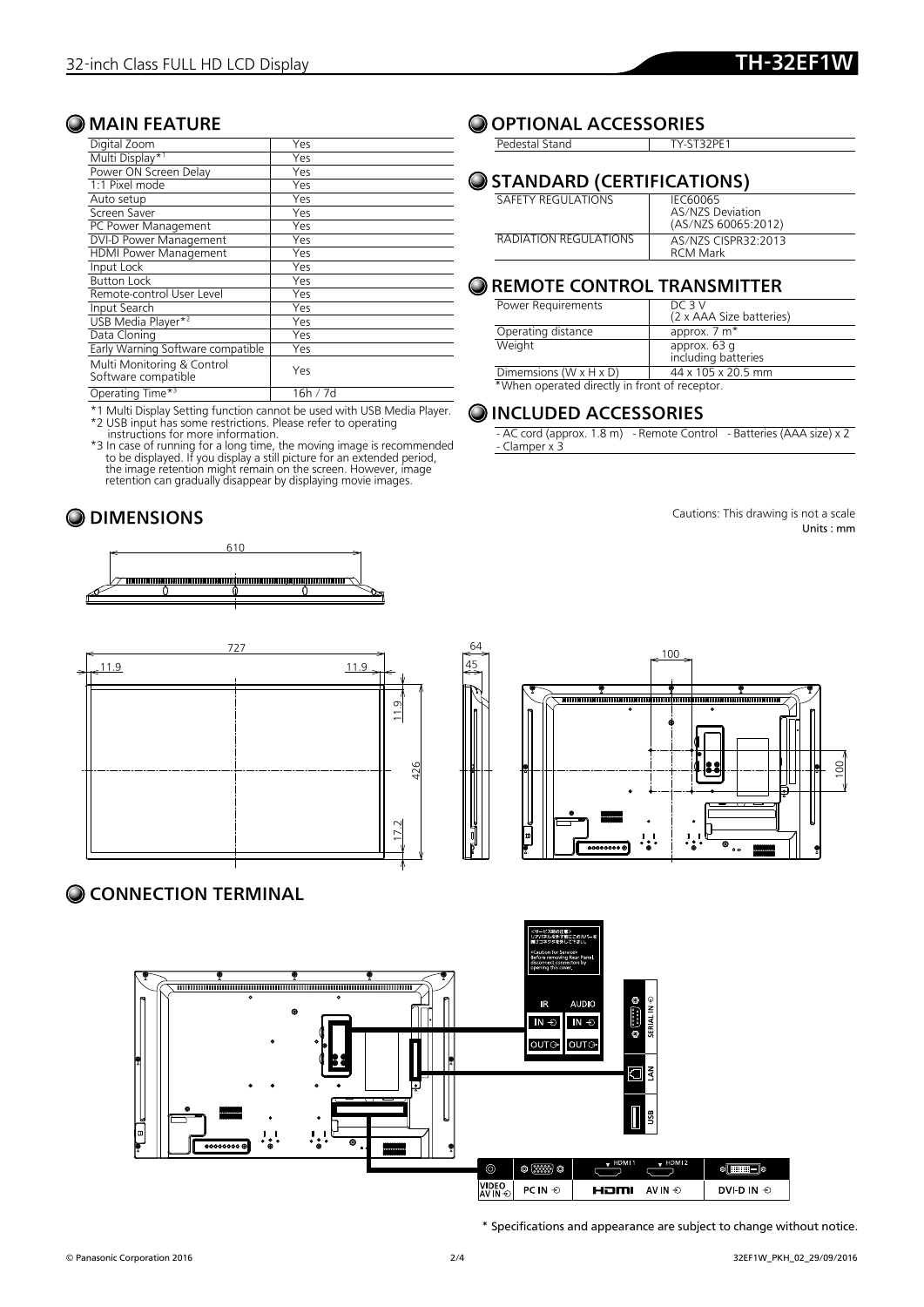#### **O** MAIN FEATURE

| Digital Zoom                                      | Yes      |
|---------------------------------------------------|----------|
| Multi Display*1                                   | Yes      |
| Power ON Screen Delay                             | Yes      |
| 1:1 Pixel mode                                    | Yes      |
| Auto setup                                        | Yes      |
| Screen Saver                                      | Yes      |
| PC Power Management                               | Yes      |
| DVI-D Power Management                            | Yes      |
| <b>HDMI Power Management</b>                      | Yes      |
| Input Lock                                        | Yes      |
| <b>Button Lock</b>                                | Yes      |
| Remote-control User Level                         | Yes      |
| Input Search                                      | Yes      |
| USB Media Player* <sup>2</sup>                    | Yes      |
| Data Cloning                                      | Yes      |
| Early Warning Software compatible                 | Yes      |
| Multi Monitoring & Control<br>Software compatible | Yes      |
| Operating Time* <sup>3</sup>                      | 16h / 7d |

\*1 Multi Display Setting function cannot be used with USB Media Player. \*2 USB input has some restrictions. Please refer to operating

instructions for more information.<br>
\*3 In case of running for a long time, the moving image is recommended<br>
to be displayed. If you display a still picture for an extended period,<br>
the image retention might remain on the s







#### CONNECTION TERMINAL



\* Specifications and appearance are subject to change without notice.

### **O OPTIONAL ACCESSORIES**

Pedestal Stand TY-ST32PE1

#### O STANDARD (CERTIFICATIONS)

| SAFFTY REGULATIONS     | IFC60065            |
|------------------------|---------------------|
|                        | AS/N7S Deviation    |
|                        | (AS/NZS 60065:2012) |
| RADIATION REGUI ATIONS | AS/NZS CISPR32:2013 |
|                        | <b>RCM Mark</b>     |

#### O REMOTE CONTROL TRANSMITTER

| Power Requirements                   | DC 3 V                   |
|--------------------------------------|--------------------------|
|                                      | (2 x AAA Size batteries) |
| Operating distance                   | approx. 7 m <sup>*</sup> |
| Weight                               | approx. 63 g             |
|                                      | including batteries      |
| Dimemsions ( $W \times H \times D$ ) | 44 x 105 x 20.5 mm       |
|                                      |                          |

\*When operated directly in front of receptor.

#### O INCLUDED ACCESSORIES

- AC cord (approx. 1.8 m) - Remote Control - Batteries (AAA size) x 2 - Clamper x 3

**O DIMENSIONS** Cautions: This drawing is not a scale Units : mm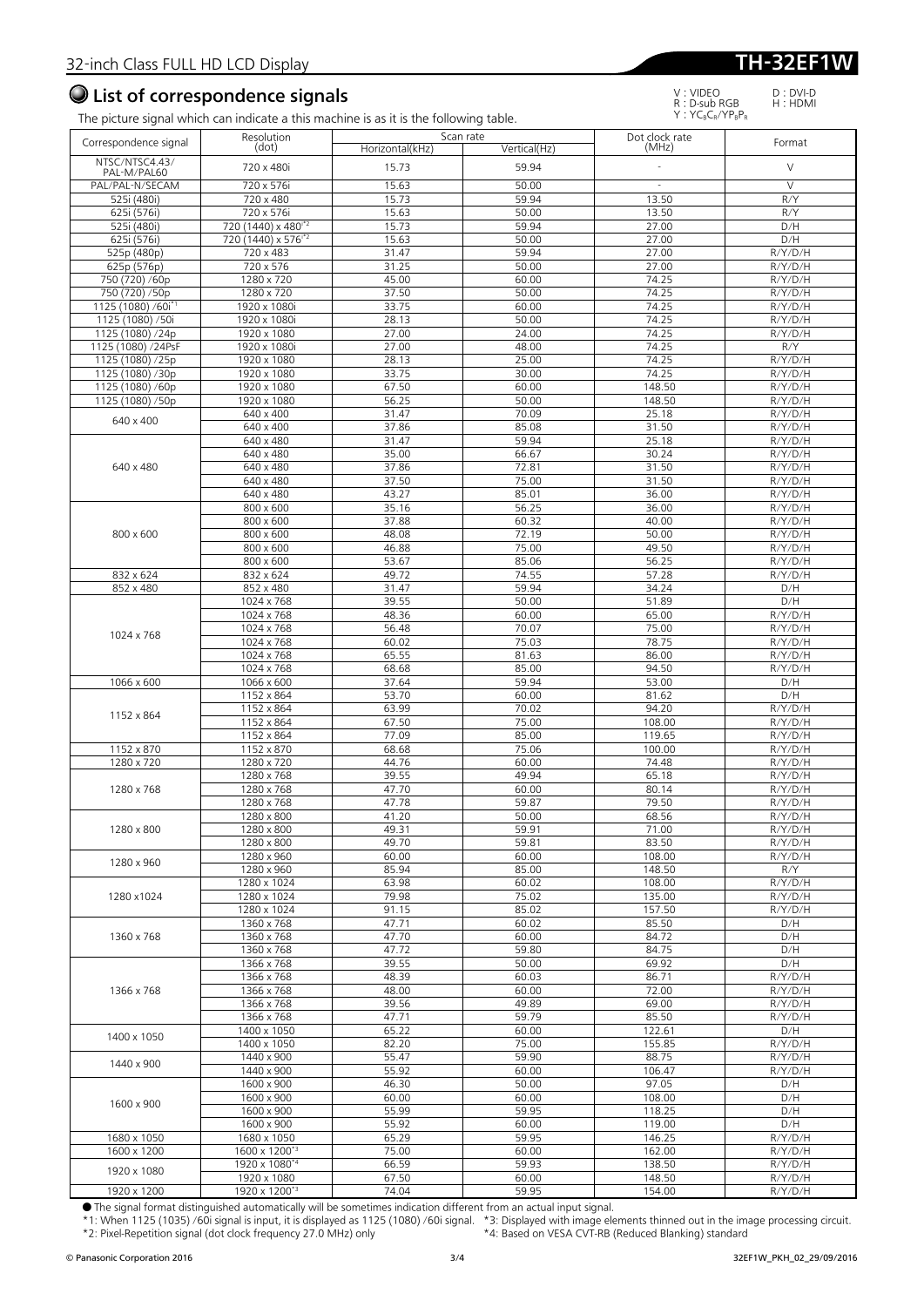### List of correspondence signals

D:DVI-D H:HDMI

| Correspondence signal                            | Resolution                      |                 | Scan rate      | Dot clock rate | Format             |
|--------------------------------------------------|---------------------------------|-----------------|----------------|----------------|--------------------|
| NTSC/NTSC4.43/                                   | (dot)                           | Horizontal(kHz) | Vertical(Hz)   | (MHz)          |                    |
| PAL-M/PAL60                                      | 720 x 480i                      | 15.73           | 59.94          |                | $\vee$             |
| PAL/PAL-N/SECAM                                  | 720 x 576i                      | 15.63           | 50.00          | $\sim$         | $\vee$             |
| 525i (480i)                                      | 720 x 480                       | 15.73           | 59.94          | 13.50          | R/Y                |
| 625i (576i)                                      | 720 x 576i                      | 15.63           | 50.00          | 13.50          | R/Y                |
| 525i (480i)                                      | 720 (1440) x 480 <sup>1*2</sup> | 15.73           | 59.94          | 27.00          | D/H                |
| 625i (576i)                                      | 720 (1440) x 576 <sup>*2</sup>  | 15.63           | 50.00          | 27.00          | D/H                |
| 525p (480p)                                      | 720 x 483                       | 31.47           | 59.94          | 27.00          | R/Y/D/H            |
| 625p (576p)                                      | 720 x 576                       | 31.25           | 50.00          | 27.00          | R/Y/D/H            |
| 750 (720) /60p                                   | 1280 x 720                      | 45.00<br>37.50  | 60.00<br>50.00 | 74.25<br>74.25 | R/Y/D/H            |
| 750 (720) /50p<br>1125 (1080) /60i <sup>*1</sup> | 1280 x 720<br>1920 x 1080i      | 33.75           | 60.00          | 74.25          | R/Y/D/H<br>R/Y/D/H |
| 1125 (1080) /50i                                 | 1920 x 1080i                    | 28.13           | 50.00          | 74.25          | R/Y/D/H            |
| 1125 (1080) /24p                                 | 1920 x 1080                     | 27.00           | 24.00          | 74.25          | R/Y/D/H            |
| 1125 (1080) /24PsF                               | 1920 x 1080i                    | 27.00           | 48.00          | 74.25          | R/Y                |
| 1125 (1080) /25p                                 | 1920 x 1080                     | 28.13           | 25.00          | 74.25          | R/Y/D/H            |
| 1125 (1080) /30p                                 | 1920 x 1080                     | 33.75           | 30.00          | 74.25          | R/Y/D/H            |
| 1125 (1080) /60p                                 | 1920 x 1080                     | 67.50           | 60.00          | 148.50         | R/Y/D/H            |
| 1125 (1080) /50p                                 | 1920 x 1080                     | 56.25           | 50.00          | 148.50         | R/Y/D/H            |
|                                                  | 640 x 400                       | 31.47           | 70.09          | 25.18          | R/Y/D/H            |
| 640 x 400                                        | 640 x 400                       | 37.86           | 85.08          | 31.50          | R/Y/D/H            |
|                                                  | 640 x 480                       | 31.47           | 59.94          | 25.18          | R/Y/D/H            |
|                                                  | 640 x 480                       | 35.00           | 66.67          | 30.24          | R/Y/D/H            |
| 640 x 480                                        | 640 x 480                       | 37.86           | 72.81          | 31.50          | R/Y/D/H            |
|                                                  | 640 x 480                       | 37.50           | 75.00          | 31.50          | R/Y/D/H            |
|                                                  | 640 x 480                       | 43.27           | 85.01          | 36.00          | R/Y/D/H            |
|                                                  | 800 x 600                       | 35.16           | 56.25          | 36.00          | R/Y/D/H            |
|                                                  | 800 x 600                       | 37.88           | 60.32          | 40.00          | R/Y/D/H            |
| 800 x 600                                        | 800 x 600                       | 48.08           | 72.19          | 50.00          | R/Y/D/H            |
|                                                  | 800 x 600                       | 46.88           | 75.00          | 49.50          | R/Y/D/H            |
|                                                  | 800 x 600                       | 53.67           | 85.06          | 56.25          | R/Y/D/H            |
| 832 x 624                                        | 832 x 624                       | 49.72           | 74.55          | 57.28          | R/Y/D/H            |
| 852 x 480                                        | 852 x 480                       | 31.47           | 59.94          | 34.24          | D/H                |
|                                                  | 1024 x 768                      | 39.55           | 50.00          | 51.89          | D/H                |
|                                                  | 1024 x 768                      | 48.36           | 60.00          | 65.00          | R/Y/D/H            |
| 1024 x 768                                       | 1024 x 768                      | 56.48           | 70.07          | 75.00          | R/Y/D/H            |
|                                                  | 1024 x 768                      | 60.02           | 75.03          | 78.75          | R/Y/D/H            |
|                                                  | 1024 x 768                      | 65.55           | 81.63          | 86.00          | R/Y/D/H            |
|                                                  | 1024 x 768                      | 68.68           | 85.00          | 94.50          | R/Y/D/H            |
| 1066 x 600                                       | 1066 x 600                      | 37.64           | 59.94          | 53.00          | D/H                |
|                                                  | 1152 x 864                      | 53.70           | 60.00          | 81.62          | D/H                |
| 1152 x 864                                       | 1152 x 864                      | 63.99           | 70.02          | 94.20          | R/Y/D/H            |
|                                                  | 1152 x 864                      | 67.50           | 75.00          | 108.00         | R/Y/D/H            |
|                                                  | 1152 x 864                      | 77.09           | 85.00          | 119.65         | R/Y/D/H            |
| 1152 x 870                                       | 1152 x 870                      | 68.68           | 75.06          | 100.00         | R/Y/D/H            |
| 1280 x 720                                       | 1280 x 720                      | 44.76           | 60.00          | 74.48          | R/Y/D/H            |
|                                                  | 1280 x 768                      | 39.55           | 49.94          | 65.18          | R/Y/D/H            |
| 1280 x 768                                       | 1280 x 768                      | 47.70           | 60.00          | 80.14          | R/Y/D/H            |
|                                                  | 1280 x 768                      | 47.78           | 59.87          | 79.50          | R/Y/D/H            |
| 1280 x 800                                       | 1280 x 800<br>1280 x 800        | 41.20<br>49.31  | 50.00<br>59.91 | 68.56<br>71.00 | R/Y/D/H<br>R/Y/D/H |
|                                                  | 1280 x 800                      | 49.70           | 59.81          | 83.50          | R/Y/D/H            |
|                                                  | 1280 x 960                      | 60.00           | 60.00          | 108.00         | R/Y/D/H            |
| 1280 x 960                                       | 1280 x 960                      | 85.94           | 85.00          | 148.50         | R/Y                |
|                                                  | 1280 x 1024                     | 63.98           | 60.02          | 108.00         | R/Y/D/H            |
| 1280 x1024                                       | 1280 x 1024                     | 79.98           | 75.02          | 135.00         | R/Y/D/H            |
|                                                  | 1280 x 1024                     | 91.15           | 85.02          | 157.50         | R/Y/D/H            |
|                                                  | 1360 x 768                      | 47.71           | 60.02          | 85.50          | D/H                |
| 1360 x 768                                       | 1360 x 768                      | 47.70           | 60.00          | 84.72          | D/H                |
|                                                  | 1360 x 768                      | 47.72           | 59.80          | 84.75          | D/H                |
|                                                  | 1366 x 768                      | 39.55           | 50.00          | 69.92          | D/H                |
|                                                  | 1366 x 768                      | 48.39           | 60.03          | 86.71          | R/Y/D/H            |
| 1366 x 768                                       | 1366 x 768                      | 48.00           | 60.00          | 72.00          | R/Y/D/H            |
|                                                  | 1366 x 768                      | 39.56           | 49.89          | 69.00          | R/Y/D/H            |
|                                                  | 1366 x 768                      | 47.71           | 59.79          | 85.50          | R/Y/D/H            |
|                                                  | 1400 x 1050                     | 65.22           | 60.00          | 122.61         | D/H                |
| 1400 x 1050                                      | 1400 x 1050                     | 82.20           | 75.00          | 155.85         | R/Y/D/H            |
|                                                  | 1440 x 900                      | 55.47           | 59.90          | 88.75          | R/Y/D/H            |
| 1440 x 900                                       | 1440 x 900                      | 55.92           | 60.00          | 106.47         | R/Y/D/H            |
|                                                  | 1600 x 900                      | 46.30           | 50.00          | 97.05          | D/H                |
|                                                  | 1600 x 900                      | 60.00           | 60.00          | 108.00         | D/H                |
| 1600 x 900                                       | 1600 x 900                      | 55.99           | 59.95          | 118.25         | D/H                |
|                                                  | 1600 x 900                      | 55.92           | 60.00          | 119.00         | D/H                |
| 1680 x 1050                                      | 1680 x 1050                     | 65.29           | 59.95          | 146.25         | R/Y/D/H            |
| 1600 x 1200                                      | 1600 x 1200*3                   | 75.00           | 60.00          | 162.00         | R/Y/D/H            |
|                                                  | 1920 x 1080*4                   | 66.59           | 59.93          | 138.50         | R/Y/D/H            |
| 1920 x 1080                                      | 1920 x 1080                     | 67.50           | 60.00          | 148.50         | R/Y/D/H            |
| 1920 x 1200                                      | 1920 x 1200*3                   | 74.04           | 59.95          | 154.00         | R/Y/D/H            |

● The signal format distinguished automatically will be sometimes indication different from an actual input signal.

\*1: When 1125 (1035) /60i signal is input, it is displayed as 1125 (1080) /60i signal. \*3: Displayed with image elements thinned out in the image processing circuit. \*2: Pixel-Repetition signal (dot clock frequency 27.0 MHz) only \*4: Based on VESA CVT-RB (Reduced Blanking) standard